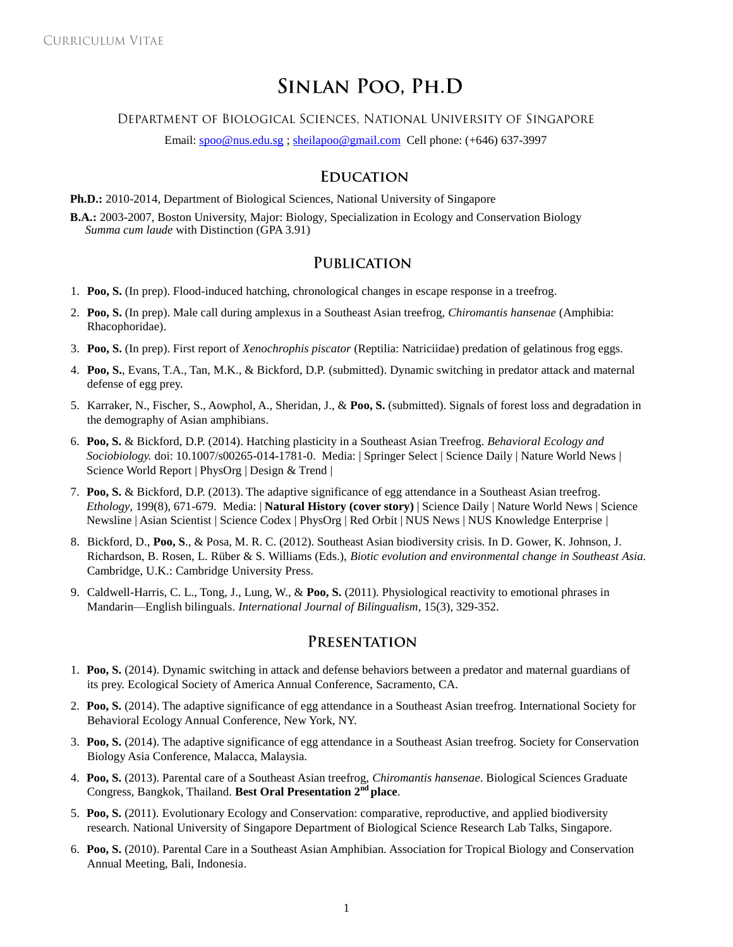# SINLAN POO, PH.D

DEPARTMENT OF BIOLOGICAL SCIENCES, NATIONAL UNIVERSITY OF SINGAPORE

Email[: spoo@nus.edu.sg](mailto:spoo@nus.edu.sg) ; [sheilapoo@gmail.com](mailto:sheilapoo@gmail.com) Cell phone: (+646) 637-3997

## **EDUCATION**

**Ph.D.:** 2010-2014, Department of Biological Sciences, National University of Singapore

**B.A.:** 2003-2007, Boston University, Major: Biology, Specialization in Ecology and Conservation Biology *Summa cum laude* with Distinction (GPA 3.91)

#### **PUBLICATION**

- 1. **Poo, S.** (In prep). Flood-induced hatching, chronological changes in escape response in a treefrog.
- 2. **Poo, S.** (In prep). Male call during amplexus in a Southeast Asian treefrog, *Chiromantis hansenae* (Amphibia: Rhacophoridae).
- 3. **Poo, S.** (In prep). First report of *Xenochrophis piscator* (Reptilia: Natriciidae) predation of gelatinous frog eggs.
- 4. **Poo, S.**, Evans, T.A., Tan, M.K., & Bickford, D.P. (submitted). Dynamic switching in predator attack and maternal defense of egg prey.
- 5. Karraker, N., Fischer, S., Aowphol, A., Sheridan, J., & **Poo, S.** (submitted). Signals of forest loss and degradation in the demography of Asian amphibians.
- 6. **Poo, S.** & Bickford, D.P. (2014). Hatching plasticity in a Southeast Asian Treefrog. *Behavioral Ecology and Sociobiology.* doi: 10.1007/s00265-014-1781-0. Media: | Springer Select | Science Daily | Nature World News | Science World Report | PhysOrg | Design & Trend |
- 7. **Poo, S.** & Bickford, D.P. (2013). The adaptive significance of egg attendance in a Southeast Asian treefrog. *Ethology*, 199(8), 671-679. Media: | **Natural History (cover story)** | Science Daily | Nature World News | Science Newsline | Asian Scientist | Science Codex | PhysOrg | Red Orbit | NUS News | NUS Knowledge Enterprise |
- 8. Bickford, D., **Poo, S**., & Posa, M. R. C. (2012). Southeast Asian biodiversity crisis. In D. Gower, K. Johnson, J. Richardson, B. Rosen, L. Rüber & S. Williams (Eds.), *Biotic evolution and environmental change in Southeast Asia.* Cambridge, U.K.: Cambridge University Press.
- 9. Caldwell-Harris, C. L., Tong, J., Lung, W., & **Poo, S.** (2011). Physiological reactivity to emotional phrases in Mandarin—English bilinguals. *International Journal of Bilingualism*, 15(3), 329-352.

### PRESENTATION

- 1. **Poo, S.** (2014). Dynamic switching in attack and defense behaviors between a predator and maternal guardians of its prey. Ecological Society of America Annual Conference, Sacramento, CA.
- 2. **Poo, S.** (2014). The adaptive significance of egg attendance in a Southeast Asian treefrog. International Society for Behavioral Ecology Annual Conference, New York, NY.
- 3. **Poo, S.** (2014). The adaptive significance of egg attendance in a Southeast Asian treefrog. Society for Conservation Biology Asia Conference, Malacca, Malaysia.
- 4. **Poo, S.** (2013). Parental care of a Southeast Asian treefrog, *Chiromantis hansenae*. Biological Sciences Graduate Congress, Bangkok, Thailand. **Best Oral Presentation 2nd place**.
- 5. **Poo, S.** (2011). Evolutionary Ecology and Conservation: comparative, reproductive, and applied biodiversity research. National University of Singapore Department of Biological Science Research Lab Talks, Singapore.
- 6. **Poo, S.** (2010). Parental Care in a Southeast Asian Amphibian. Association for Tropical Biology and Conservation Annual Meeting, Bali, Indonesia.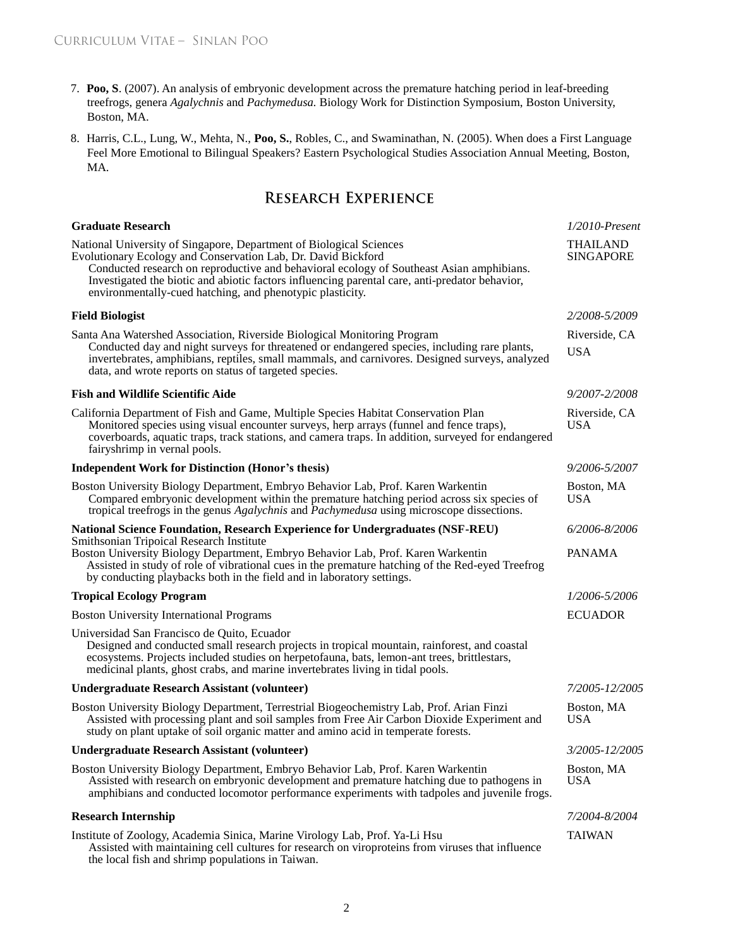- 7. **Poo, S**. (2007). An analysis of embryonic development across the premature hatching period in leaf-breeding treefrogs, genera *Agalychnis* and *Pachymedusa.* Biology Work for Distinction Symposium, Boston University, Boston, MA.
- 8. Harris, C.L., Lung, W., Mehta, N., **Poo, S.**, Robles, C., and Swaminathan, N. (2005). When does a First Language Feel More Emotional to Bilingual Speakers? Eastern Psychological Studies Association Annual Meeting, Boston, MA.

# **RESEARCH EXPERIENCE**

| <b>Graduate Research</b>                                                                                                                                                                                                                                                                                                                                                                        | $1/2010$ -Present                   |
|-------------------------------------------------------------------------------------------------------------------------------------------------------------------------------------------------------------------------------------------------------------------------------------------------------------------------------------------------------------------------------------------------|-------------------------------------|
| National University of Singapore, Department of Biological Sciences<br>Evolutionary Ecology and Conservation Lab, Dr. David Bickford<br>Conducted research on reproductive and behavioral ecology of Southeast Asian amphibians.<br>Investigated the biotic and abiotic factors influencing parental care, anti-predator behavior,<br>environmentally-cued hatching, and phenotypic plasticity. | <b>THAILAND</b><br><b>SINGAPORE</b> |
| <b>Field Biologist</b>                                                                                                                                                                                                                                                                                                                                                                          | 2/2008-5/2009                       |
| Santa Ana Watershed Association, Riverside Biological Monitoring Program<br>Conducted day and night surveys for threatened or endangered species, including rare plants,<br>invertebrates, amphibians, reptiles, small mammals, and carnivores. Designed surveys, analyzed<br>data, and wrote reports on status of targeted species.                                                            | Riverside, CA<br><b>USA</b>         |
| <b>Fish and Wildlife Scientific Aide</b>                                                                                                                                                                                                                                                                                                                                                        | 9/2007-2/2008                       |
| California Department of Fish and Game, Multiple Species Habitat Conservation Plan<br>Monitored species using visual encounter surveys, herp arrays (funnel and fence traps),<br>coverboards, aquatic traps, track stations, and camera traps. In addition, surveyed for endangered<br>fairyshrimp in vernal pools.                                                                             | Riverside, CA<br><b>USA</b>         |
| <b>Independent Work for Distinction (Honor's thesis)</b>                                                                                                                                                                                                                                                                                                                                        | 9/2006-5/2007                       |
| Boston University Biology Department, Embryo Behavior Lab, Prof. Karen Warkentin<br>Compared embryonic development within the premature hatching period across six species of<br>tropical treefrogs in the genus Agalychnis and Pachymedusa using microscope dissections.                                                                                                                       | Boston, MA<br><b>USA</b>            |
| <b>National Science Foundation, Research Experience for Undergraduates (NSF-REU)</b>                                                                                                                                                                                                                                                                                                            | 6/2006-8/2006                       |
| Smithsonian Tripoical Research Institute<br>Boston University Biology Department, Embryo Behavior Lab, Prof. Karen Warkentin<br>Assisted in study of role of vibrational cues in the premature hatching of the Red-eyed Treefrog<br>by conducting playbacks both in the field and in laboratory settings.                                                                                       | <b>PANAMA</b>                       |
| <b>Tropical Ecology Program</b>                                                                                                                                                                                                                                                                                                                                                                 | 1/2006-5/2006                       |
| <b>Boston University International Programs</b>                                                                                                                                                                                                                                                                                                                                                 | <b>ECUADOR</b>                      |
| Universidad San Francisco de Quito, Ecuador<br>Designed and conducted small research projects in tropical mountain, rainforest, and coastal<br>ecosystems. Projects included studies on herpetofauna, bats, lemon-ant trees, brittlestars,<br>medicinal plants, ghost crabs, and marine invertebrates living in tidal pools.                                                                    |                                     |
| <b>Undergraduate Research Assistant (volunteer)</b>                                                                                                                                                                                                                                                                                                                                             | 7/2005-12/2005                      |
| Boston University Biology Department, Terrestrial Biogeochemistry Lab, Prof. Arian Finzi<br>Assisted with processing plant and soil samples from Free Air Carbon Dioxide Experiment and<br>study on plant uptake of soil organic matter and amino acid in temperate forests.                                                                                                                    | Boston, MA<br><b>USA</b>            |
| Undergraduate Research Assistant (volunteer)                                                                                                                                                                                                                                                                                                                                                    | <i>3/2005-12/2005</i>               |
| Boston University Biology Department, Embryo Behavior Lab, Prof. Karen Warkentin<br>Assisted with research on embryonic development and premature hatching due to pathogens in<br>amphibians and conducted locomotor performance experiments with tadpoles and juvenile frogs.                                                                                                                  | Boston, MA<br><b>USA</b>            |
| <b>Research Internship</b>                                                                                                                                                                                                                                                                                                                                                                      | 7/2004-8/2004                       |
| Institute of Zoology, Academia Sinica, Marine Virology Lab, Prof. Ya-Li Hsu<br>Assisted with maintaining cell cultures for research on viroproteins from viruses that influence<br>the local fish and shrimp populations in Taiwan.                                                                                                                                                             | <b>TAIWAN</b>                       |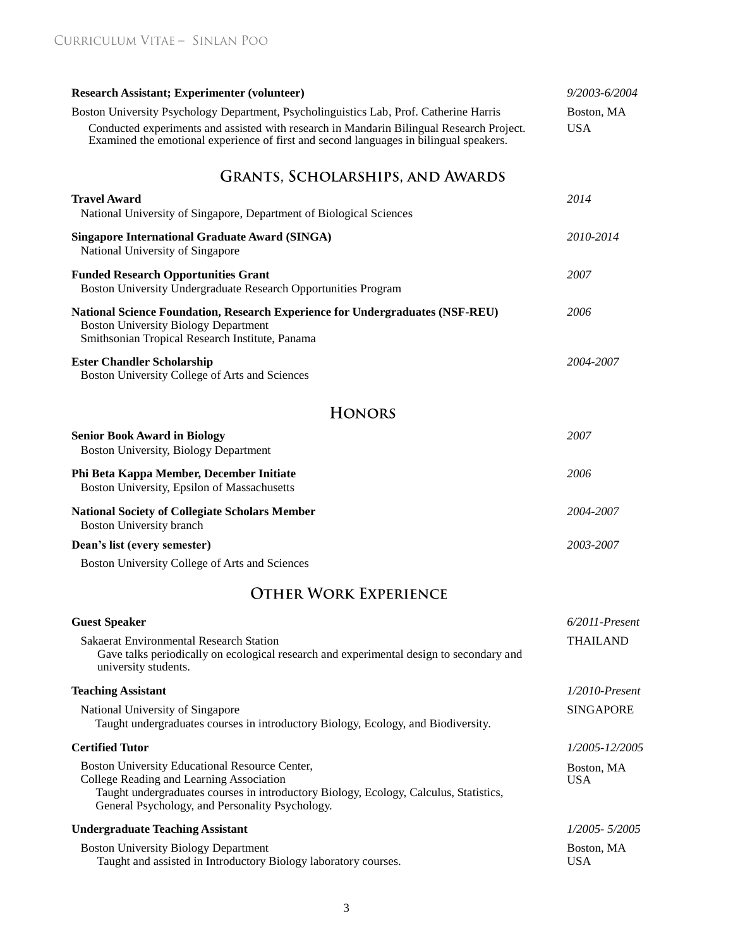| <b>Research Assistant; Experimenter (volunteer)</b>                                                                                                                                                                                                                          | 9/2003-6/2004            |
|------------------------------------------------------------------------------------------------------------------------------------------------------------------------------------------------------------------------------------------------------------------------------|--------------------------|
| Boston University Psychology Department, Psycholinguistics Lab, Prof. Catherine Harris<br>Conducted experiments and assisted with research in Mandarin Bilingual Research Project.<br>Examined the emotional experience of first and second languages in bilingual speakers. | Boston, MA<br><b>USA</b> |
| <b>GRANTS, SCHOLARSHIPS, AND AWARDS</b>                                                                                                                                                                                                                                      |                          |
| <b>Travel Award</b><br>National University of Singapore, Department of Biological Sciences                                                                                                                                                                                   | 2014                     |
| <b>Singapore International Graduate Award (SINGA)</b><br>National University of Singapore                                                                                                                                                                                    | 2010-2014                |
| <b>Funded Research Opportunities Grant</b><br>Boston University Undergraduate Research Opportunities Program                                                                                                                                                                 | 2007                     |
| <b>National Science Foundation, Research Experience for Undergraduates (NSF-REU)</b><br><b>Boston University Biology Department</b><br>Smithsonian Tropical Research Institute, Panama                                                                                       | 2006                     |
| <b>Ester Chandler Scholarship</b><br>Boston University College of Arts and Sciences                                                                                                                                                                                          | 2004-2007                |
| <b>HONORS</b>                                                                                                                                                                                                                                                                |                          |
| <b>Senior Book Award in Biology</b><br>Boston University, Biology Department                                                                                                                                                                                                 | 2007                     |
| Phi Beta Kappa Member, December Initiate<br>Boston University, Epsilon of Massachusetts                                                                                                                                                                                      | 2006                     |
| <b>National Society of Collegiate Scholars Member</b><br><b>Boston University branch</b>                                                                                                                                                                                     | 2004-2007                |
| Dean's list (every semester)                                                                                                                                                                                                                                                 | 2003-2007                |
| Boston University College of Arts and Sciences                                                                                                                                                                                                                               |                          |
| <b>OTHER WORK EXPERIENCE</b>                                                                                                                                                                                                                                                 |                          |
| <b>Guest Speaker</b>                                                                                                                                                                                                                                                         | $6/2011$ -Present        |
| Sakaerat Environmental Research Station<br>Gave talks periodically on ecological research and experimental design to secondary and<br>university students.                                                                                                                   | <b>THAILAND</b>          |
| <b>Teaching Assistant</b>                                                                                                                                                                                                                                                    | $1/2010$ -Present        |
| National University of Singapore<br>Taught undergraduates courses in introductory Biology, Ecology, and Biodiversity.                                                                                                                                                        | <b>SINGAPORE</b>         |
| <b>Certified Tutor</b>                                                                                                                                                                                                                                                       | 1/2005-12/2005           |
| Boston University Educational Resource Center,<br>College Reading and Learning Association<br>Taught undergraduates courses in introductory Biology, Ecology, Calculus, Statistics,<br>General Psychology, and Personality Psychology.                                       | Boston, MA<br><b>USA</b> |
| <b>Undergraduate Teaching Assistant</b>                                                                                                                                                                                                                                      | 1/2005-5/2005            |
| <b>Boston University Biology Department</b><br>Taught and assisted in Introductory Biology laboratory courses.                                                                                                                                                               | Boston, MA<br><b>USA</b> |